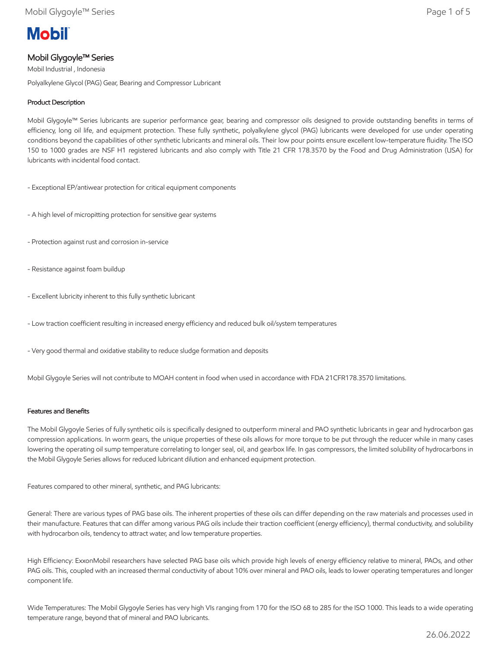# **Mobil**

# Mobil Glygoyle™ Series

Mobil Industrial , Indonesia Polyalkylene Glycol (PAG) Gear, Bearing and Compressor Lubricant

# Product Description

Mobil Glygoyle™ Series lubricants are superior performance gear, bearing and compressor oils designed to provide outstanding benefits in terms of efficiency, long oil life, and equipment protection. These fully synthetic, polyalkylene glycol (PAG) lubricants were developed for use under operating conditions beyond the capabilities of other synthetic lubricants and mineral oils. Their low pour points ensure excellent low-temperature fluidity. The ISO 150 to 1000 grades are NSF H1 registered lubricants and also comply with Title 21 CFR 178.3570 by the Food and Drug Administration (USA) for lubricants with incidental food contact.

- Exceptional EP/antiwear protection for critical equipment components
- A high level of micropitting protection for sensitive gear systems
- Protection against rust and corrosion in-service
- Resistance against foam buildup
- Excellent lubricity inherent to this fully synthetic lubricant
- Low traction coefficient resulting in increased energy efficiency and reduced bulk oil/system temperatures
- Very good thermal and oxidative stability to reduce sludge formation and deposits

Mobil Glygoyle Series will not contribute to MOAH content in food when used in accordance with FDA 21CFR178.3570 limitations.

## Features and Benefits

The Mobil Glygoyle Series of fully synthetic oils is specifically designed to outperform mineral and PAO synthetic lubricants in gear and hydrocarbon gas compression applications. In worm gears, the unique properties of these oils allows for more torque to be put through the reducer while in many cases lowering the operating oil sump temperature correlating to longer seal, oil, and gearbox life. In gas compressors, the limited solubility of hydrocarbons in the Mobil Glygoyle Series allows for reduced lubricant dilution and enhanced equipment protection.

Features compared to other mineral, synthetic, and PAG lubricants:

General: There are various types of PAG base oils. The inherent properties of these oils can differ depending on the raw materials and processes used in their manufacture. Features that can differ among various PAG oils include their traction coefficient (energy efficiency), thermal conductivity, and solubility with hydrocarbon oils, tendency to attract water, and low temperature properties.

High Efficiency: ExxonMobil researchers have selected PAG base oils which provide high levels of energy efficiency relative to mineral, PAOs, and other PAG oils. This, coupled with an increased thermal conductivity of about 10% over mineral and PAO oils, leads to lower operating temperatures and longer component life.

Wide Temperatures: The Mobil Glygoyle Series has very high VIs ranging from 170 for the ISO 68 to 285 for the ISO 1000. This leads to a wide operating temperature range, beyond that of mineral and PAO lubricants.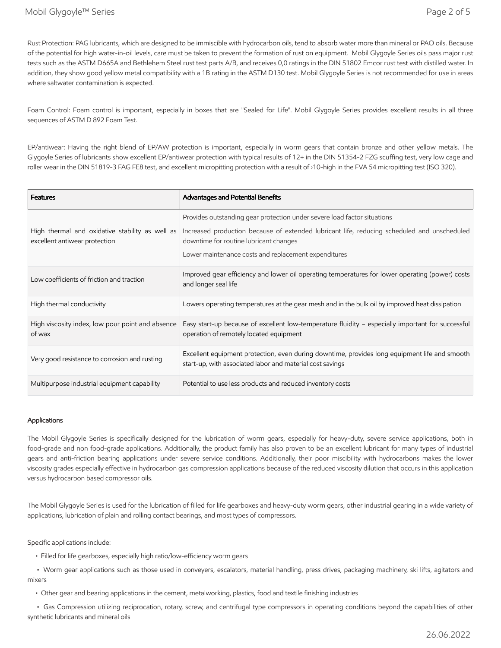Rust Protection: PAG lubricants, which are designed to be immiscible with hydrocarbon oils, tend to absorb water more than mineral or PAO oils. Because of the potential for high water-in-oil levels, care must be taken to prevent the formation of rust on equipment. Mobil Glygoyle Series oils pass major rust tests such as the ASTM D665A and Bethlehem Steel rust test parts A/B, and receives 0,0 ratings in the DIN 51802 Emcor rust test with distilled water. In addition, they show good yellow metal compatibility with a 1B rating in the ASTM D130 test. Mobil Glygoyle Series is not recommended for use in areas where saltwater contamination is expected.

Foam Control: Foam control is important, especially in boxes that are "Sealed for Life". Mobil Glygoyle Series provides excellent results in all three sequences of ASTM D 892 Foam Test.

EP/antiwear: Having the right blend of EP/AW protection is important, especially in worm gears that contain bronze and other yellow metals. The Glygoyle Series of lubricants show excellent EP/antiwear protection with typical results of 12+ in the DIN 51354-2 FZG scuffing test, very low cage and roller wear in the DIN 51819-3 FAG FE8 test, and excellent micropitting protection with a result of ›10-high in the FVA 54 micropitting test (ISO 320).

| <b>Features</b>                                                                  | Advantages and Potential Benefits                                                                                                                          |
|----------------------------------------------------------------------------------|------------------------------------------------------------------------------------------------------------------------------------------------------------|
|                                                                                  | Provides outstanding gear protection under severe load factor situations                                                                                   |
| High thermal and oxidative stability as well as<br>excellent antiwear protection | Increased production because of extended lubricant life, reducing scheduled and unscheduled<br>downtime for routine lubricant changes                      |
|                                                                                  | Lower maintenance costs and replacement expenditures                                                                                                       |
| Low coefficients of friction and traction                                        | Improved gear efficiency and lower oil operating temperatures for lower operating (power) costs<br>and longer seal life                                    |
| High thermal conductivity                                                        | Lowers operating temperatures at the gear mesh and in the bulk oil by improved heat dissipation                                                            |
| High viscosity index, low pour point and absence<br>of wax                       | Easy start-up because of excellent low-temperature fluidity - especially important for successful<br>operation of remotely located equipment               |
| Very good resistance to corrosion and rusting                                    | Excellent equipment protection, even during downtime, provides long equipment life and smooth<br>start-up, with associated labor and material cost savings |
| Multipurpose industrial equipment capability                                     | Potential to use less products and reduced inventory costs                                                                                                 |

#### Applications

The Mobil Glygoyle Series is specifically designed for the lubrication of worm gears, especially for heavy-duty, severe service applications, both in food-grade and non food-grade applications. Additionally, the product family has also proven to be an excellent lubricant for many types of industrial gears and anti-friction bearing applications under severe service conditions. Additionally, their poor miscibility with hydrocarbons makes the lower viscosity grades especially effective in hydrocarbon gas compression applications because of the reduced viscosity dilution that occurs in this application versus hydrocarbon based compressor oils.

The Mobil Glygoyle Series is used for the lubrication of filled for life gearboxes and heavy-duty worm gears, other industrial gearing in a wide variety of applications, lubrication of plain and rolling contact bearings, and most types of compressors.

Specific applications include:

• Filled for life gearboxes, especially high ratio/low-efficiency worm gears

 • Worm gear applications such as those used in conveyers, escalators, material handling, press drives, packaging machinery, ski lifts, agitators and mixers

• Other gear and bearing applications in the cement, metalworking, plastics, food and textile finishing industries

 • Gas Compression utilizing reciprocation, rotary, screw, and centrifugal type compressors in operating conditions beyond the capabilities of other synthetic lubricants and mineral oils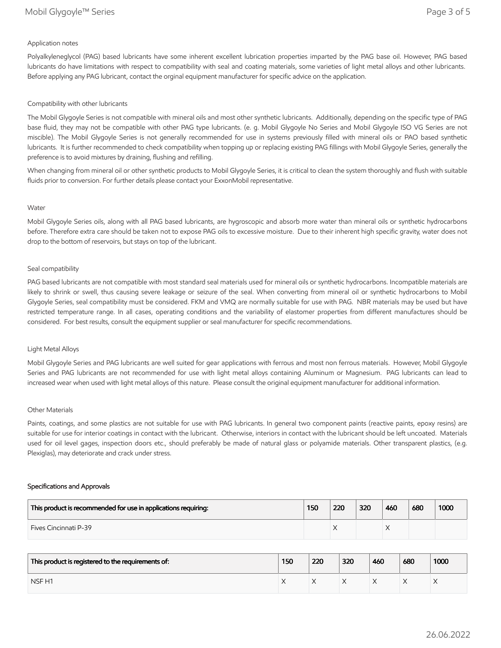### Application notes

Polyalkyleneglycol (PAG) based lubricants have some inherent excellent lubrication properties imparted by the PAG base oil. However, PAG based lubricants do have limitations with respect to compatibility with seal and coating materials, some varieties of light metal alloys and other lubricants. Before applying any PAG lubricant, contact the orginal equipment manufacturer for specific advice on the application.

#### Compatibility with other lubricants

The Mobil Glygoyle Series is not compatible with mineral oils and most other synthetic lubricants. Additionally, depending on the specific type of PAG base fluid, they may not be compatible with other PAG type lubricants. (e. g. Mobil Glygoyle No Series and Mobil Glygoyle ISO VG Series are not miscible). The Mobil Glygoyle Series is not generally recommended for use in systems previously filled with mineral oils or PAO based synthetic lubricants. It is further recommended to check compatibility when topping up or replacing existing PAG fillings with Mobil Glygoyle Series, generally the preference is to avoid mixtures by draining, flushing and refilling.

When changing from mineral oil or other synthetic products to Mobil Glygoyle Series, it is critical to clean the system thoroughly and flush with suitable fluids prior to conversion. For further details please contact your ExxonMobil representative.

#### Water

Mobil Glygoyle Series oils, along with all PAG based lubricants, are hygroscopic and absorb more water than mineral oils or synthetic hydrocarbons before. Therefore extra care should be taken not to expose PAG oils to excessive moisture. Due to their inherent high specific gravity, water does not drop to the bottom of reservoirs, but stays on top of the lubricant.

#### Seal compatibility

PAG based lubricants are not compatible with most standard seal materials used for mineral oils or synthetic hydrocarbons. Incompatible materials are likely to shrink or swell, thus causing severe leakage or seizure of the seal. When converting from mineral oil or synthetic hydrocarbons to Mobil Glygoyle Series, seal compatibility must be considered. FKM and VMQ are normally suitable for use with PAG. NBR materials may be used but have restricted temperature range. In all cases, operating conditions and the variability of elastomer properties from different manufactures should be considered. For best results, consult the equipment supplier or seal manufacturer for specific recommendations.

#### Light Metal Alloys

Mobil Glygoyle Series and PAG lubricants are well suited for gear applications with ferrous and most non ferrous materials. However, Mobil Glygoyle Series and PAG lubricants are not recommended for use with light metal alloys containing Aluminum or Magnesium. PAG lubricants can lead to increased wear when used with light metal alloys of this nature. Please consult the original equipment manufacturer for additional information.

#### Other Materials

Paints, coatings, and some plastics are not suitable for use with PAG lubricants. In general two component paints (reactive paints, epoxy resins) are suitable for use for interior coatings in contact with the lubricant. Otherwise, interiors in contact with the lubricant should be left uncoated. Materials used for oil level gages, inspection doors etc., should preferably be made of natural glass or polyamide materials. Other transparent plastics, (e.g. Plexiglas), may deteriorate and crack under stress.

#### Specifications and Approvals

| This product is recommended for use in applications requiring: | 150 | 220 | 320 | 460 | 680 | 1000 |
|----------------------------------------------------------------|-----|-----|-----|-----|-----|------|
| <b>Fives Cincinnati P-39</b>                                   |     |     |     |     |     |      |

| This product is registered to the requirements of: | 150 | 220 | 320 | 460 | 680 | 1000 |
|----------------------------------------------------|-----|-----|-----|-----|-----|------|
| NSF <sub>H1</sub>                                  |     |     |     |     | ∧   |      |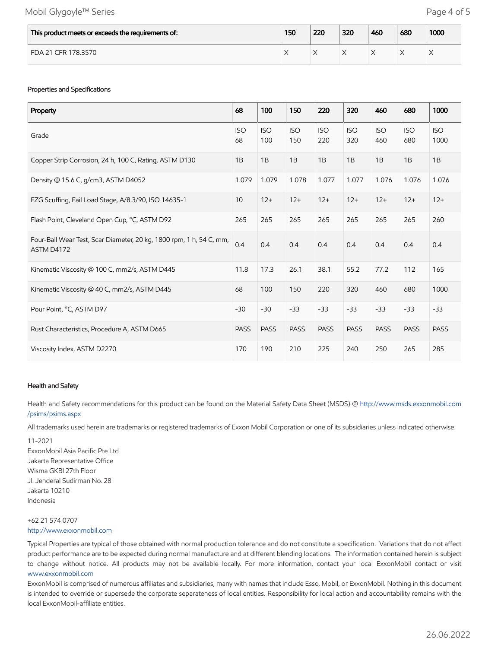## Mobil Glygoyle™ Series **Page 4 of 5**

| This product meets or exceeds the requirements of: | 150 | 220 | 320 | 460 | 680 | 1000 |
|----------------------------------------------------|-----|-----|-----|-----|-----|------|
| FDA 21 CFR 178.3570                                |     |     |     |     |     |      |

#### Properties and Specifications

| Property                                                                          | 68               | 100               | 150               | 220               | 320               | 460               | 680               | 1000               |
|-----------------------------------------------------------------------------------|------------------|-------------------|-------------------|-------------------|-------------------|-------------------|-------------------|--------------------|
| Grade                                                                             | <b>ISO</b><br>68 | <b>ISO</b><br>100 | <b>ISO</b><br>150 | <b>ISO</b><br>220 | <b>ISO</b><br>320 | <b>ISO</b><br>460 | <b>ISO</b><br>680 | <b>ISO</b><br>1000 |
| Copper Strip Corrosion, 24 h, 100 C, Rating, ASTM D130                            | 1B               | 1B                | 1B                | 1B                | 1B                | 1B                | 1B                | 1B                 |
| Density @ 15.6 C, g/cm3, ASTM D4052                                               | 1.079            | 1.079             | 1.078             | 1.077             | 1.077             | 1.076             | 1.076             | 1.076              |
| FZG Scuffing, Fail Load Stage, A/8.3/90, ISO 14635-1                              | 10               | $12+$             | $12+$             | $12+$             | $12+$             | $12+$             | $12+$             | $12+$              |
| Flash Point, Cleveland Open Cup, °C, ASTM D92                                     | 265              | 265               | 265               | 265               | 265               | 265               | 265               | 260                |
| Four-Ball Wear Test, Scar Diameter, 20 kg, 1800 rpm, 1 h, 54 C, mm,<br>ASTM D4172 | 0.4              | 0.4               | 0.4               | 0.4               | 0.4               | 0.4               | 0.4               | 0.4                |
| Kinematic Viscosity @ 100 C, mm2/s, ASTM D445                                     | 11.8             | 17.3              | 26.1              | 38.1              | 55.2              | 77.2              | 112               | 165                |
| Kinematic Viscosity @ 40 C, mm2/s, ASTM D445                                      | 68               | 100               | 150               | 220               | 320               | 460               | 680               | 1000               |
| Pour Point, °C, ASTM D97                                                          | $-30$            | $-30$             | $-33$             | $-33$             | $-33$             | $-33$             | $-33$             | $-33$              |
| Rust Characteristics, Procedure A, ASTM D665                                      | <b>PASS</b>      | <b>PASS</b>       | <b>PASS</b>       | <b>PASS</b>       | <b>PASS</b>       | <b>PASS</b>       | <b>PASS</b>       | <b>PASS</b>        |
| Viscosity Index, ASTM D2270                                                       | 170              | 190               | 210               | 225               | 240               | 250               | 265               | 285                |

#### Health and Safety

Health and Safety recommendations for this product can be found on the Material Safety Data Sheet (MSDS) @ [http://www.msds.exxonmobil.com](http://www.msds.exxonmobil.com/psims/psims.aspx) /psims/psims.aspx

All trademarks used herein are trademarks or registered trademarks of Exxon Mobil Corporation or one of its subsidiaries unless indicated otherwise.

11-2021 ExxonMobil Asia Pacific Pte Ltd Jakarta Representative Office Wisma GKBI 27th Floor Jl. Jenderal Sudirman No. 28 Jakarta 10210 Indonesia

## +62 21 574 0707 [http://www.exxonmobil.com](http://www.exxonmobil.com/)

Typical Properties are typical of those obtained with normal production tolerance and do not constitute a specification. Variations that do not affect product performance are to be expected during normal manufacture and at different blending locations. The information contained herein is subject to change without notice. All products may not be available locally. For more information, contact your local ExxonMobil contact or visit [www.exxonmobil.com](http://www.exxonmobil.com/)

ExxonMobil is comprised of numerous affiliates and subsidiaries, many with names that include Esso, Mobil, or ExxonMobil. Nothing in this document is intended to override or supersede the corporate separateness of local entities. Responsibility for local action and accountability remains with the local ExxonMobil-affiliate entities.